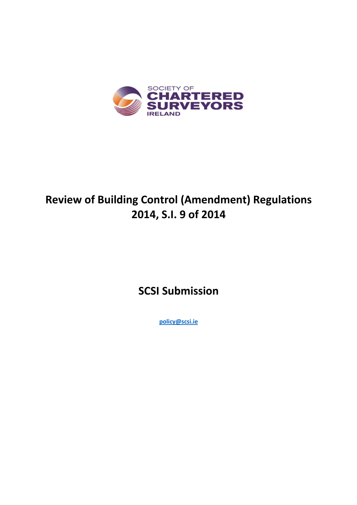

# **Review of Building Control (Amendment) Regulations 2014, S.I. 9 of 2014**

**SCSI Submission** 

**policy@scsi.ie**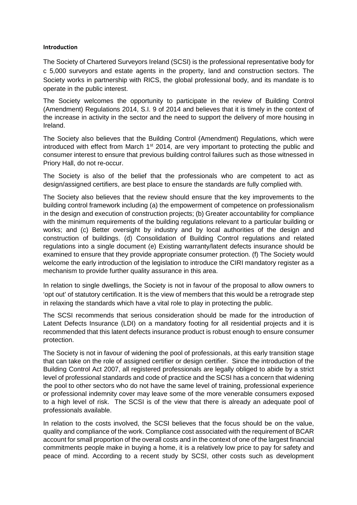#### **Introduction**

The Society of Chartered Surveyors Ireland (SCSI) is the professional representative body for c 5,000 surveyors and estate agents in the property, land and construction sectors. The Society works in partnership with RICS, the global professional body, and its mandate is to operate in the public interest.

The Society welcomes the opportunity to participate in the review of Building Control (Amendment) Regulations 2014, S.I. 9 of 2014 and believes that it is timely in the context of the increase in activity in the sector and the need to support the delivery of more housing in Ireland.

The Society also believes that the Building Control (Amendment) Regulations, which were introduced with effect from March  $1<sup>st</sup>$  2014, are very important to protecting the public and consumer interest to ensure that previous building control failures such as those witnessed in Priory Hall, do not re-occur.

The Society is also of the belief that the professionals who are competent to act as design/assigned certifiers, are best place to ensure the standards are fully complied with.

The Society also believes that the review should ensure that the key improvements to the building control framework including (a) the empowerment of competence on professionalism in the design and execution of construction projects; (b) Greater accountability for compliance with the minimum requirements of the building regulations relevant to a particular building or works; and (c) Better oversight by industry and by local authorities of the design and construction of buildings. (d) Consolidation of Building Control regulations and related regulations into a single document (e) Existing warranty/latent defects insurance should be examined to ensure that they provide appropriate consumer protection. (f) The Society would welcome the early introduction of the legislation to introduce the CIRI mandatory register as a mechanism to provide further quality assurance in this area.

In relation to single dwellings, the Society is not in favour of the proposal to allow owners to 'opt out' of statutory certification. It is the view of members that this would be a retrograde step in relaxing the standards which have a vital role to play in protecting the public.

The SCSI recommends that serious consideration should be made for the introduction of Latent Defects Insurance (LDI) on a mandatory footing for all residential projects and it is recommended that this latent defects insurance product is robust enough to ensure consumer protection.

The Society is not in favour of widening the pool of professionals, at this early transition stage that can take on the role of assigned certifier or design certifier. Since the introduction of the Building Control Act 2007, all registered professionals are legally obliged to abide by a strict level of professional standards and code of practice and the SCSI has a concern that widening the pool to other sectors who do not have the same level of training, professional experience or professional indemnity cover may leave some of the more venerable consumers exposed to a high level of risk. The SCSI is of the view that there is already an adequate pool of professionals available.

In relation to the costs involved, the SCSI believes that the focus should be on the value, quality and compliance of the work. Compliance cost associated with the requirement of BCAR account for small proportion of the overall costs and in the context of one of the largest financial commitments people make in buying a home, it is a relatively low price to pay for safety and peace of mind. According to a recent study by SCSI, other costs such as development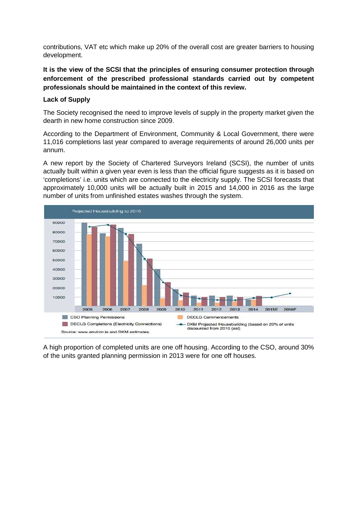contributions, VAT etc which make up 20% of the overall cost are greater barriers to housing development.

**It is the view of the SCSI that the principles of ensuring consumer protection through enforcement of the prescribed professional standards carried out by competent professionals should be maintained in the context of this review.** 

#### **Lack of Supply**

The Society recognised the need to improve levels of supply in the property market given the dearth in new home construction since 2009.

According to the Department of Environment, Community & Local Government, there were 11,016 completions last year compared to average requirements of around 26,000 units per annum.

A new report by the Society of Chartered Surveyors Ireland (SCSI), the number of units actually built within a given year even is less than the official figure suggests as it is based on 'completions' i.e. units which are connected to the electricity supply. The SCSI forecasts that approximately 10,000 units will be actually built in 2015 and 14,000 in 2016 as the large number of units from unfinished estates washes through the system.



A high proportion of completed units are one off housing. According to the CSO, around 30% of the units granted planning permission in 2013 were for one off houses.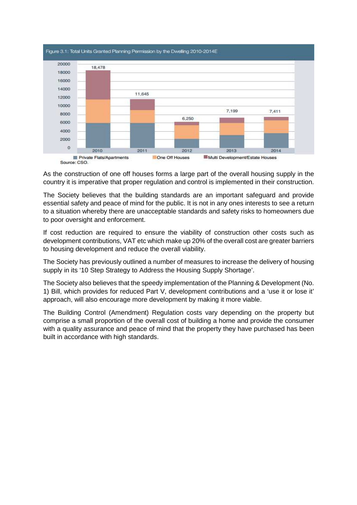

As the construction of one off houses forms a large part of the overall housing supply in the country it is imperative that proper regulation and control is implemented in their construction.

The Society believes that the building standards are an important safeguard and provide essential safety and peace of mind for the public. It is not in any ones interests to see a return to a situation whereby there are unacceptable standards and safety risks to homeowners due to poor oversight and enforcement.

If cost reduction are required to ensure the viability of construction other costs such as development contributions, VAT etc which make up 20% of the overall cost are greater barriers to housing development and reduce the overall viability.

The Society has previously outlined a number of measures to increase the delivery of housing supply in its '10 Step Strategy to Address the Housing Supply Shortage'.

The Society also believes that the speedy implementation of the Planning & Development (No. 1) Bill, which provides for reduced Part V, development contributions and a 'use it or lose it' approach, will also encourage more development by making it more viable.

The Building Control (Amendment) Regulation costs vary depending on the property but comprise a small proportion of the overall cost of building a home and provide the consumer with a quality assurance and peace of mind that the property they have purchased has been built in accordance with high standards.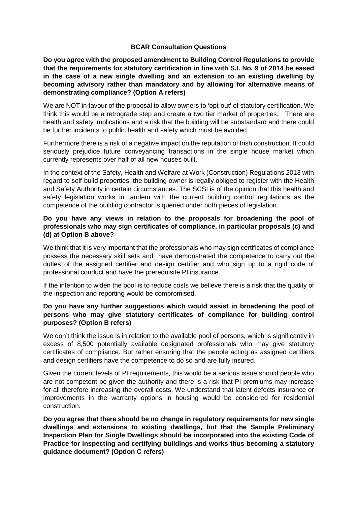#### **BCAR Consultation Questions**

**Do you agree with the proposed amendment to Building Control Regulations to provide that the requirements for statutory certification in line with S.I. No. 9 of 2014 be eased in the case of a new single dwelling and an extension to an existing dwelling by becoming advisory rather than mandatory and by allowing for alternative means of demonstrating compliance? (Option A refers)** 

We are NOT in favour of the proposal to allow owners to 'opt-out' of statutory certification. We think this would be a retrograde step and create a two tier market of properties. There are health and safety implications and a risk that the building will be substandard and there could be further incidents to public health and safety which must be avoided.

Furthermore there is a risk of a negative impact on the reputation of Irish construction. It could seriously prejudice future conveyancing transactions in the single house market which currently represents over half of all new houses built.

In the context of the Safety, Health and Welfare at Work (Construction) Regulations 2013 with regard to self-build properties, the building owner is legally obliged to register with the Health and Safety Authority in certain circumstances. The SCSI is of the opinion that this health and safety legislation works in tandem with the current building control regulations as the competence of the building contractor is queried under both pieces of legislation.

#### **Do you have any views in relation to the proposals for broadening the pool of professionals who may sign certificates of compliance, in particular proposals (c) and (d) at Option B above?**

We think that it is very important that the professionals who may sign certificates of compliance possess the necessary skill sets and have demonstrated the competence to carry out the duties of the assigned certifier and design certifier and who sign up to a rigid code of professional conduct and have the prerequisite PI insurance.

If the intention to widen the pool is to reduce costs we believe there is a risk that the quality of the inspection and reporting would be compromised.

### **Do you have any further suggestions which would assist in broadening the pool of persons who may give statutory certificates of compliance for building control purposes? (Option B refers)**

We don't think the issue is in relation to the available pool of persons, which is significantly in excess of 8,500 potentially available designated professionals who may give statutory certificates of compliance. But rather ensuring that the people acting as assigned certifiers and design certifiers have the competence to do so and are fully insured.

Given the current levels of PI requirements, this would be a serious issue should people who are not competent be given the authority and there is a risk that PI premiums may increase for all therefore increasing the overall costs. We understand that latent defects insurance or improvements in the warranty options in housing would be considered for residential construction.

**Do you agree that there should be no change in regulatory requirements for new single dwellings and extensions to existing dwellings, but that the Sample Preliminary Inspection Plan for Single Dwellings should be incorporated into the existing Code of Practice for inspecting and certifying buildings and works thus becoming a statutory guidance document? (Option C refers)**